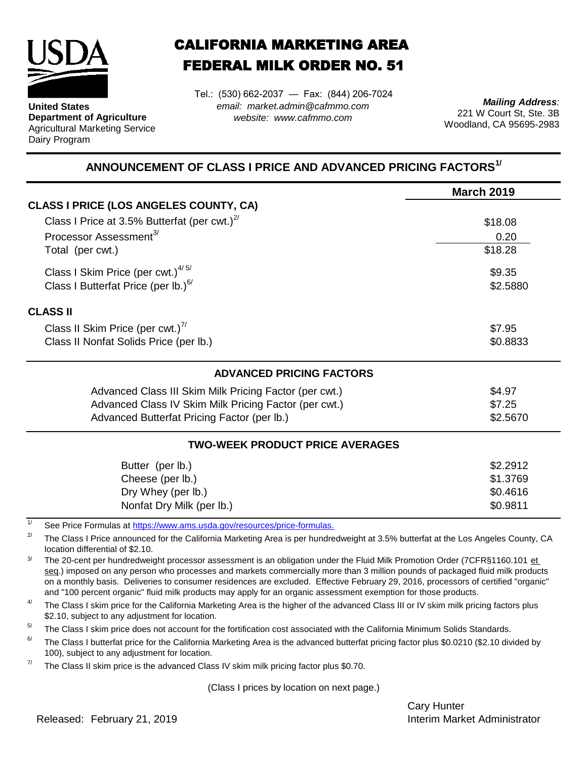

**United States Department of Agriculture** Agricultural Marketing Service Dairy Program

## CALIFORNIA MARKETING AREA FEDERAL MILK ORDER NO. 51

Tel.: (530) 662-2037 — Fax: (844) 206-7024 *email: market.admin@cafmmo.com website: www.cafmmo.com*

*Mailing Address:* 221 W Court St, Ste. 3B Woodland, CA 95695-2983

## **ANNOUNCEMENT OF CLASS I PRICE AND ADVANCED PRICING FACTORS1/**

|                                                                               | <b>March 2019</b>  |  |  |
|-------------------------------------------------------------------------------|--------------------|--|--|
| <b>CLASS I PRICE (LOS ANGELES COUNTY, CA)</b>                                 |                    |  |  |
| Class I Price at 3.5% Butterfat (per cwt.) $2^7$                              | \$18.08            |  |  |
| Processor Assessment <sup>3/</sup>                                            | 0.20               |  |  |
| Total (per cwt.)                                                              | \$18.28            |  |  |
| Class I Skim Price (per cwt.) $4/5/$                                          | \$9.35<br>\$2.5880 |  |  |
| Class I Butterfat Price (per lb.) $^{6/}$                                     |                    |  |  |
| <b>CLASS II</b>                                                               |                    |  |  |
| Class II Skim Price (per cwt.) <sup>7/</sup>                                  | \$7.95             |  |  |
| Class II Nonfat Solids Price (per lb.)                                        | \$0.8833           |  |  |
| <b>ADVANCED PRICING FACTORS</b>                                               |                    |  |  |
| Advanced Class III Skim Milk Pricing Factor (per cwt.)                        | \$4.97             |  |  |
| Advanced Class IV Skim Milk Pricing Factor (per cwt.)                         | \$7.25             |  |  |
| Advanced Butterfat Pricing Factor (per lb.)                                   | \$2.5670           |  |  |
| <b>TWO-WEEK PRODUCT PRICE AVERAGES</b>                                        |                    |  |  |
| Butter (per lb.)                                                              | \$2.2912           |  |  |
| Cheese (per lb.)                                                              | \$1.3769           |  |  |
| Dry Whey (per lb.)                                                            | \$0.4616           |  |  |
| Nonfat Dry Milk (per lb.)                                                     | \$0.9811           |  |  |
| 1/<br>See Price Formulas at https://www.ams.usda.gov/resources/price-formulas |                    |  |  |

[See Price Formulas at h](https://www.ams.usda.gov/resources/price-formulas)ttps://www.ams.usda.gov/resources/price-formulas.

2/ The Class I Price announced for the California Marketing Area is per hundredweight at 3.5% butterfat at the Los Angeles County, CA location differential of \$2.10.

3/ The 20-cent per hundredweight processor assessment is an obligation under the Fluid Milk Promotion Order (7CFR§1160.101 et seg.) imposed on any person who processes and markets commercially more than 3 million pounds of packaged fluid milk products on a monthly basis. Deliveries to consumer residences are excluded. Effective February 29, 2016, processors of certified "organic" and "100 percent organic" fluid milk products may apply for an organic assessment exemption for those products.

4/ The Class I skim price for the California Marketing Area is the higher of the advanced Class III or IV skim milk pricing factors plus \$2.10, subject to any adjustment for location.

 $5/$ The Class I skim price does not account for the fortification cost associated with the California Minimum Solids Standards.

6/ The Class I butterfat price for the California Marketing Area is the advanced butterfat pricing factor plus \$0.0210 (\$2.10 divided by 100), subject to any adjustment for location.

7/ The Class II skim price is the advanced Class IV skim milk pricing factor plus \$0.70.

(Class I prices by location on next page.)